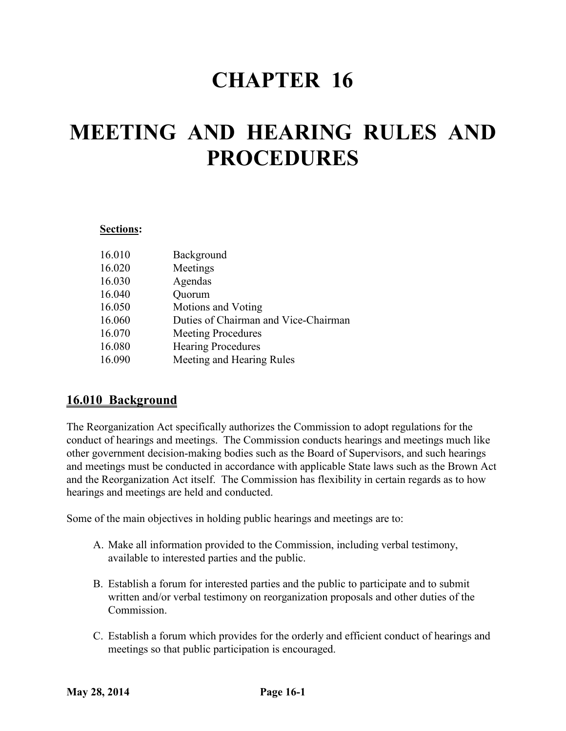## **CHAPTER 16**

# **MEETING AND HEARING RULES AND PROCEDURES**

#### **Sections:**

| 16.010 | Background                           |
|--------|--------------------------------------|
| 16.020 | Meetings                             |
| 16.030 | Agendas                              |
| 16.040 | Quorum                               |
| 16.050 | Motions and Voting                   |
| 16.060 | Duties of Chairman and Vice-Chairman |
| 16.070 | <b>Meeting Procedures</b>            |
| 16.080 | <b>Hearing Procedures</b>            |
| 16.090 | Meeting and Hearing Rules            |
|        |                                      |

## **16.010 Background**

The Reorganization Act specifically authorizes the Commission to adopt regulations for the conduct of hearings and meetings. The Commission conducts hearings and meetings much like other government decision-making bodies such as the Board of Supervisors, and such hearings and meetings must be conducted in accordance with applicable State laws such as the Brown Act and the Reorganization Act itself. The Commission has flexibility in certain regards as to how hearings and meetings are held and conducted.

Some of the main objectives in holding public hearings and meetings are to:

- A. Make all information provided to the Commission, including verbal testimony, available to interested parties and the public.
- B. Establish a forum for interested parties and the public to participate and to submit written and/or verbal testimony on reorganization proposals and other duties of the Commission.
- C. Establish a forum which provides for the orderly and efficient conduct of hearings and meetings so that public participation is encouraged.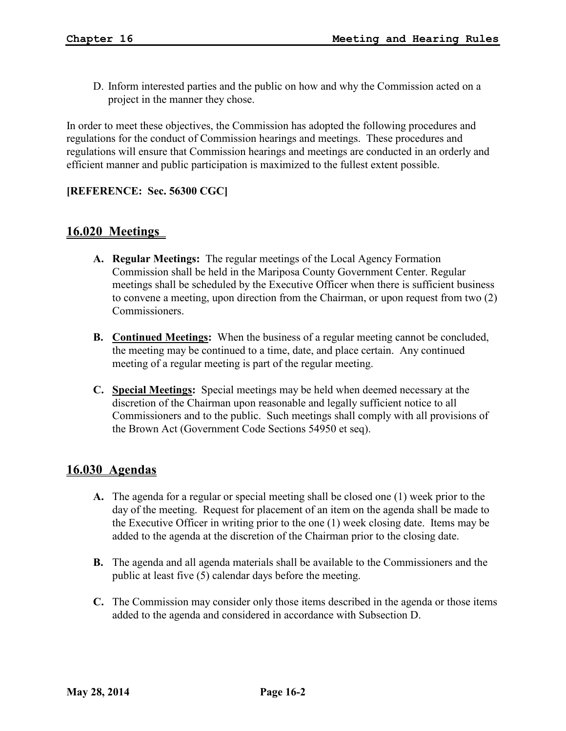D. Inform interested parties and the public on how and why the Commission acted on a project in the manner they chose.

In order to meet these objectives, the Commission has adopted the following procedures and regulations for the conduct of Commission hearings and meetings. These procedures and regulations will ensure that Commission hearings and meetings are conducted in an orderly and efficient manner and public participation is maximized to the fullest extent possible.

#### **[REFERENCE: Sec. 56300 CGC]**

## **16.020 Meetings**

- **A. Regular Meetings:** The regular meetings of the Local Agency Formation Commission shall be held in the Mariposa County Government Center. Regular meetings shall be scheduled by the Executive Officer when there is sufficient business to convene a meeting, upon direction from the Chairman, or upon request from two (2) Commissioners.
- **B. Continued Meetings:** When the business of a regular meeting cannot be concluded, the meeting may be continued to a time, date, and place certain. Any continued meeting of a regular meeting is part of the regular meeting.
- **C. Special Meetings:** Special meetings may be held when deemed necessary at the discretion of the Chairman upon reasonable and legally sufficient notice to all Commissioners and to the public. Such meetings shall comply with all provisions of the Brown Act (Government Code Sections 54950 et seq).

### **16.030 Agendas**

- **A.** The agenda for a regular or special meeting shall be closed one (1) week prior to the day of the meeting. Request for placement of an item on the agenda shall be made to the Executive Officer in writing prior to the one (1) week closing date. Items may be added to the agenda at the discretion of the Chairman prior to the closing date.
- **B.** The agenda and all agenda materials shall be available to the Commissioners and the public at least five (5) calendar days before the meeting.
- **C.** The Commission may consider only those items described in the agenda or those items added to the agenda and considered in accordance with Subsection D.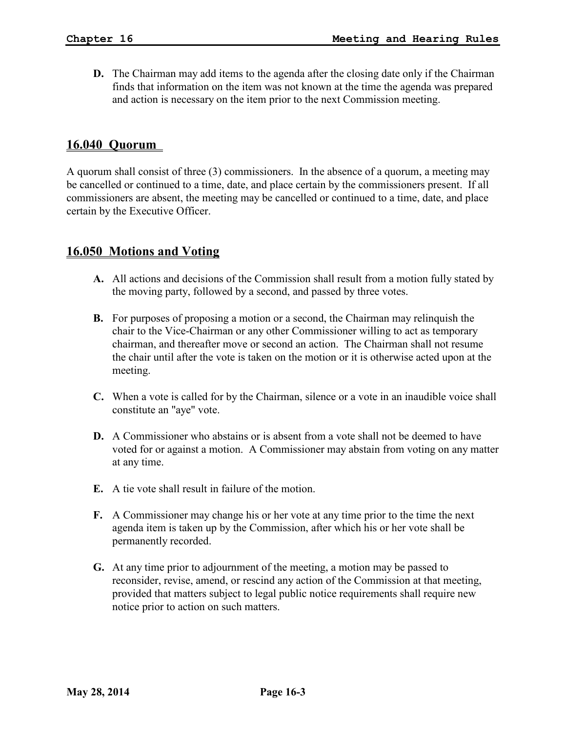**D.** The Chairman may add items to the agenda after the closing date only if the Chairman finds that information on the item was not known at the time the agenda was prepared and action is necessary on the item prior to the next Commission meeting.

#### **16.040 Quorum**

A quorum shall consist of three (3) commissioners. In the absence of a quorum, a meeting may be cancelled or continued to a time, date, and place certain by the commissioners present. If all commissioners are absent, the meeting may be cancelled or continued to a time, date, and place certain by the Executive Officer.

### **16.050 Motions and Voting**

- **A.** All actions and decisions of the Commission shall result from a motion fully stated by the moving party, followed by a second, and passed by three votes.
- **B.** For purposes of proposing a motion or a second, the Chairman may relinquish the chair to the Vice-Chairman or any other Commissioner willing to act as temporary chairman, and thereafter move or second an action. The Chairman shall not resume the chair until after the vote is taken on the motion or it is otherwise acted upon at the meeting.
- **C.** When a vote is called for by the Chairman, silence or a vote in an inaudible voice shall constitute an "aye" vote.
- **D.** A Commissioner who abstains or is absent from a vote shall not be deemed to have voted for or against a motion. A Commissioner may abstain from voting on any matter at any time.
- **E.** A tie vote shall result in failure of the motion.
- **F.** A Commissioner may change his or her vote at any time prior to the time the next agenda item is taken up by the Commission, after which his or her vote shall be permanently recorded.
- **G.** At any time prior to adjournment of the meeting, a motion may be passed to reconsider, revise, amend, or rescind any action of the Commission at that meeting, provided that matters subject to legal public notice requirements shall require new notice prior to action on such matters.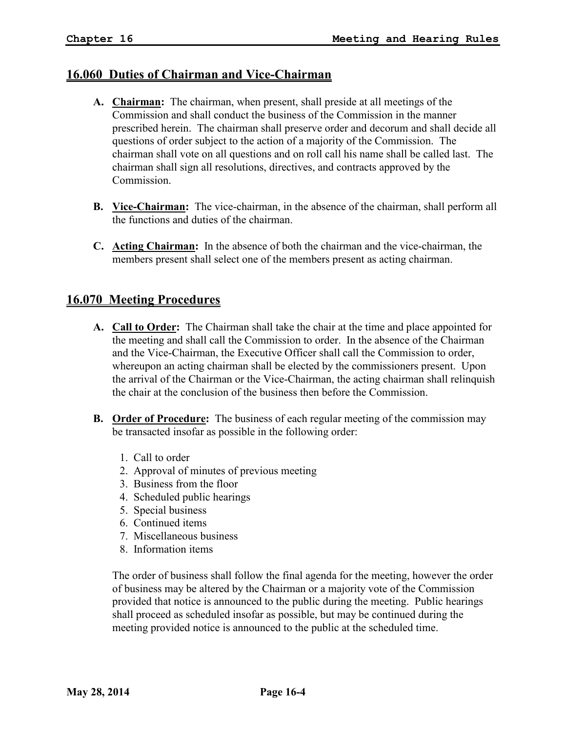## **16.060 Duties of Chairman and Vice-Chairman**

- **A. Chairman:** The chairman, when present, shall preside at all meetings of the Commission and shall conduct the business of the Commission in the manner prescribed herein. The chairman shall preserve order and decorum and shall decide all questions of order subject to the action of a majority of the Commission. The chairman shall vote on all questions and on roll call his name shall be called last. The chairman shall sign all resolutions, directives, and contracts approved by the Commission.
- **B.** Vice-Chairman: The vice-chairman, in the absence of the chairman, shall perform all the functions and duties of the chairman.
- **C. Acting Chairman:** In the absence of both the chairman and the vice-chairman, the members present shall select one of the members present as acting chairman.

### **16.070 Meeting Procedures**

- **A. Call to Order:** The Chairman shall take the chair at the time and place appointed for the meeting and shall call the Commission to order. In the absence of the Chairman and the Vice-Chairman, the Executive Officer shall call the Commission to order, whereupon an acting chairman shall be elected by the commissioners present. Upon the arrival of the Chairman or the Vice-Chairman, the acting chairman shall relinquish the chair at the conclusion of the business then before the Commission.
- **B. Order of Procedure:** The business of each regular meeting of the commission may be transacted insofar as possible in the following order:
	- 1. Call to order
	- 2. Approval of minutes of previous meeting
	- 3. Business from the floor
	- 4. Scheduled public hearings
	- 5. Special business
	- 6. Continued items
	- 7. Miscellaneous business
	- 8. Information items

The order of business shall follow the final agenda for the meeting, however the order of business may be altered by the Chairman or a majority vote of the Commission provided that notice is announced to the public during the meeting. Public hearings shall proceed as scheduled insofar as possible, but may be continued during the meeting provided notice is announced to the public at the scheduled time.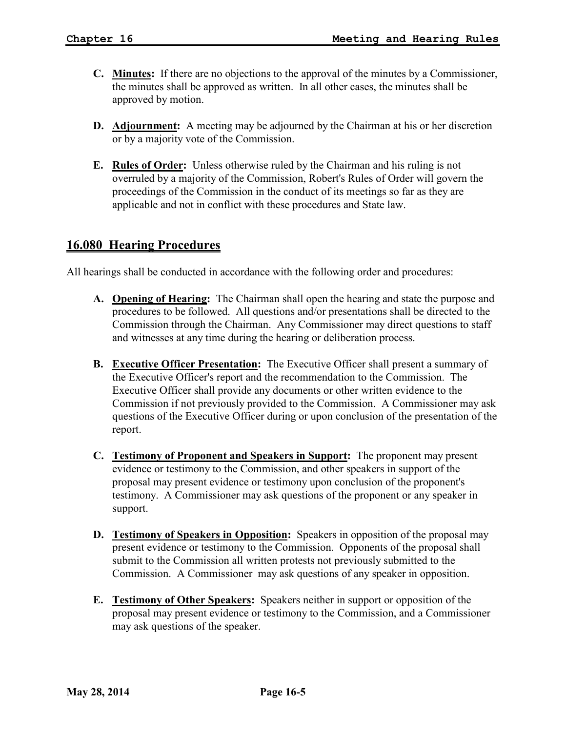- **C. Minutes:** If there are no objections to the approval of the minutes by a Commissioner, the minutes shall be approved as written. In all other cases, the minutes shall be approved by motion.
- **D. Adjournment:** A meeting may be adjourned by the Chairman at his or her discretion or by a majority vote of the Commission.
- **E. Rules of Order:** Unless otherwise ruled by the Chairman and his ruling is not overruled by a majority of the Commission, Robert's Rules of Order will govern the proceedings of the Commission in the conduct of its meetings so far as they are applicable and not in conflict with these procedures and State law.

## **16.080 Hearing Procedures**

All hearings shall be conducted in accordance with the following order and procedures:

- **A. Opening of Hearing:** The Chairman shall open the hearing and state the purpose and procedures to be followed. All questions and/or presentations shall be directed to the Commission through the Chairman. Any Commissioner may direct questions to staff and witnesses at any time during the hearing or deliberation process.
- **B. Executive Officer Presentation:** The Executive Officer shall present a summary of the Executive Officer's report and the recommendation to the Commission. The Executive Officer shall provide any documents or other written evidence to the Commission if not previously provided to the Commission. A Commissioner may ask questions of the Executive Officer during or upon conclusion of the presentation of the report.
- **C. Testimony of Proponent and Speakers in Support:** The proponent may present evidence or testimony to the Commission, and other speakers in support of the proposal may present evidence or testimony upon conclusion of the proponent's testimony. A Commissioner may ask questions of the proponent or any speaker in support.
- **D. Testimony of Speakers in Opposition:** Speakers in opposition of the proposal may present evidence or testimony to the Commission. Opponents of the proposal shall submit to the Commission all written protests not previously submitted to the Commission. A Commissioner may ask questions of any speaker in opposition.
- **E. Testimony of Other Speakers:** Speakers neither in support or opposition of the proposal may present evidence or testimony to the Commission, and a Commissioner may ask questions of the speaker.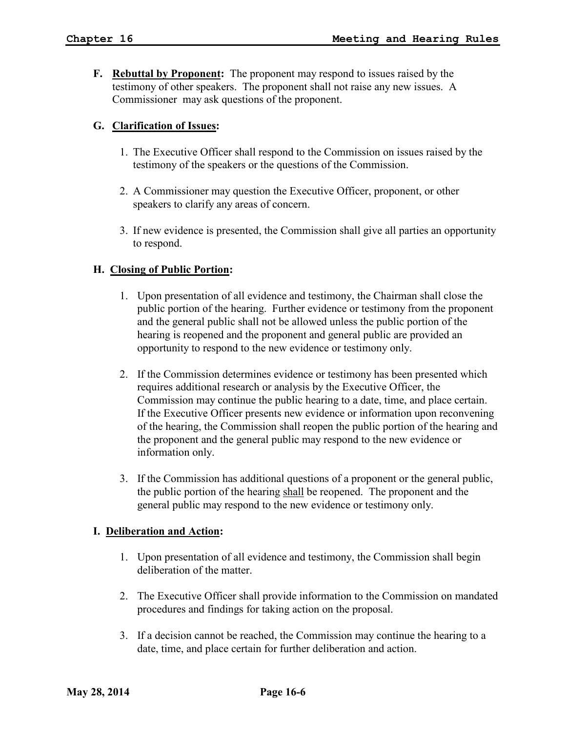**F. Rebuttal by Proponent:** The proponent may respond to issues raised by the testimony of other speakers. The proponent shall not raise any new issues. A Commissioner may ask questions of the proponent.

#### **G. Clarification of Issues:**

- 1. The Executive Officer shall respond to the Commission on issues raised by the testimony of the speakers or the questions of the Commission.
- 2. A Commissioner may question the Executive Officer, proponent, or other speakers to clarify any areas of concern.
- 3. If new evidence is presented, the Commission shall give all parties an opportunity to respond.

#### **H. Closing of Public Portion:**

- 1. Upon presentation of all evidence and testimony, the Chairman shall close the public portion of the hearing. Further evidence or testimony from the proponent and the general public shall not be allowed unless the public portion of the hearing is reopened and the proponent and general public are provided an opportunity to respond to the new evidence or testimony only.
- 2. If the Commission determines evidence or testimony has been presented which requires additional research or analysis by the Executive Officer, the Commission may continue the public hearing to a date, time, and place certain. If the Executive Officer presents new evidence or information upon reconvening of the hearing, the Commission shall reopen the public portion of the hearing and the proponent and the general public may respond to the new evidence or information only.
- 3. If the Commission has additional questions of a proponent or the general public, the public portion of the hearing shall be reopened. The proponent and the general public may respond to the new evidence or testimony only.

#### **I. Deliberation and Action:**

- 1. Upon presentation of all evidence and testimony, the Commission shall begin deliberation of the matter.
- 2. The Executive Officer shall provide information to the Commission on mandated procedures and findings for taking action on the proposal.
- 3. If a decision cannot be reached, the Commission may continue the hearing to a date, time, and place certain for further deliberation and action.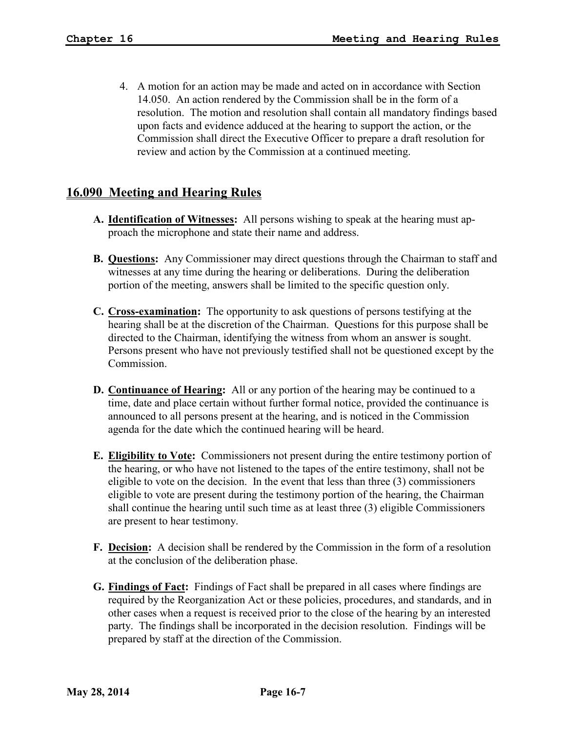4. A motion for an action may be made and acted on in accordance with Section 14.050. An action rendered by the Commission shall be in the form of a resolution. The motion and resolution shall contain all mandatory findings based upon facts and evidence adduced at the hearing to support the action, or the Commission shall direct the Executive Officer to prepare a draft resolution for review and action by the Commission at a continued meeting.

## **16.090 Meeting and Hearing Rules**

- **A. Identification of Witnesses:** All persons wishing to speak at the hearing must approach the microphone and state their name and address.
- **B. Questions:** Any Commissioner may direct questions through the Chairman to staff and witnesses at any time during the hearing or deliberations. During the deliberation portion of the meeting, answers shall be limited to the specific question only.
- **C. Cross-examination:** The opportunity to ask questions of persons testifying at the hearing shall be at the discretion of the Chairman. Questions for this purpose shall be directed to the Chairman, identifying the witness from whom an answer is sought. Persons present who have not previously testified shall not be questioned except by the Commission.
- **D. Continuance of Hearing:** All or any portion of the hearing may be continued to a time, date and place certain without further formal notice, provided the continuance is announced to all persons present at the hearing, and is noticed in the Commission agenda for the date which the continued hearing will be heard.
- **E. Eligibility to Vote:** Commissioners not present during the entire testimony portion of the hearing, or who have not listened to the tapes of the entire testimony, shall not be eligible to vote on the decision. In the event that less than three (3) commissioners eligible to vote are present during the testimony portion of the hearing, the Chairman shall continue the hearing until such time as at least three (3) eligible Commissioners are present to hear testimony.
- **F. Decision:** A decision shall be rendered by the Commission in the form of a resolution at the conclusion of the deliberation phase.
- **G. Findings of Fact:** Findings of Fact shall be prepared in all cases where findings are required by the Reorganization Act or these policies, procedures, and standards, and in other cases when a request is received prior to the close of the hearing by an interested party. The findings shall be incorporated in the decision resolution. Findings will be prepared by staff at the direction of the Commission.